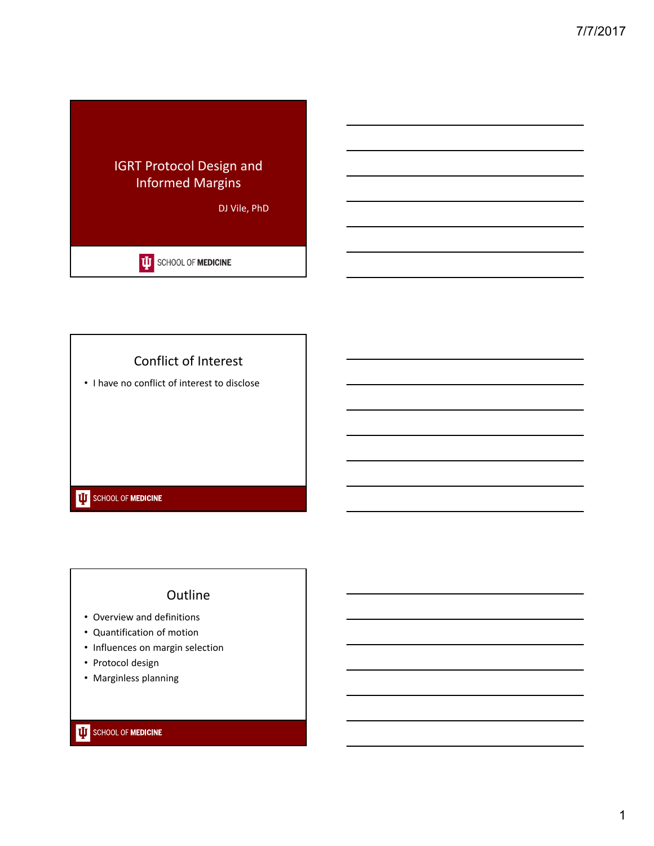

## Conflict of Interest

• I have no conflict of interest to disclose

## **UJ** SCHOOL OF **MEDICINE**

## **Outline**

- Overview and definitions
- Quantification of motion
- Influences on margin selection
- Protocol design
- Marginless planning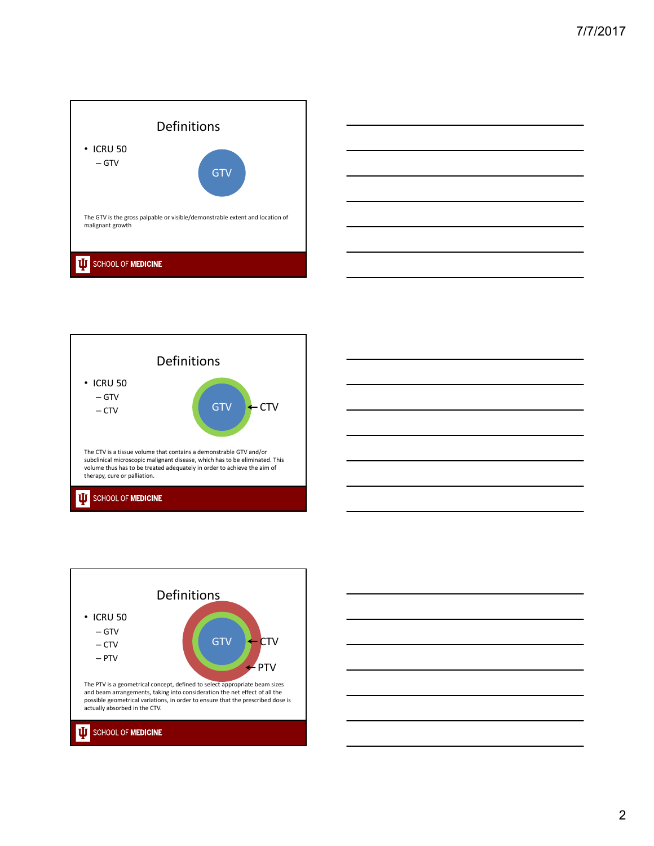







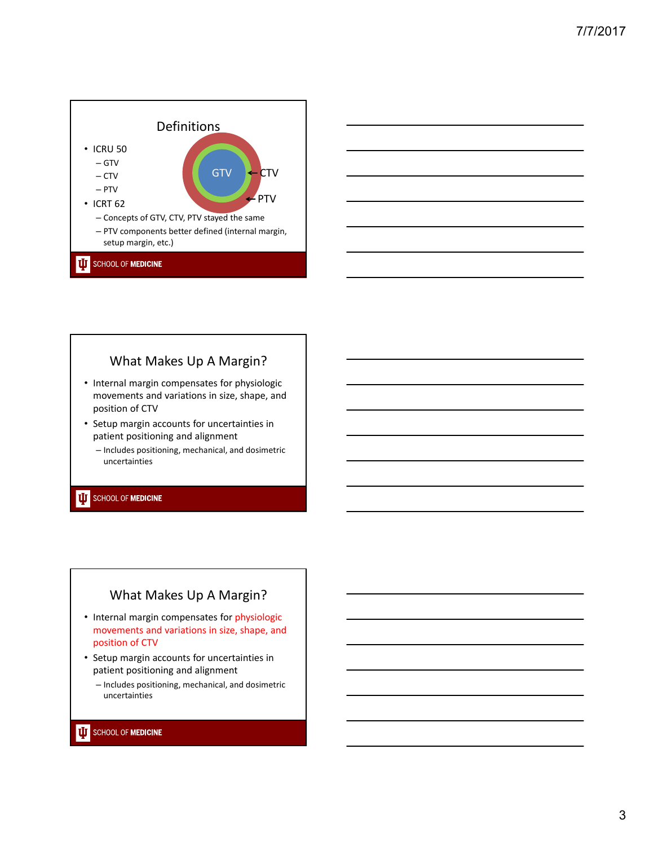

## What Makes Up A Margin?

- Internal margin compensates for physiologic movements and variations in size, shape, and position of CTV
- Setup margin accounts for uncertainties in patient positioning and alignment
	- Includes positioning, mechanical, and dosimetric uncertainties

### **UJ** SCHOOL OF MEDICINE

### What Makes Up A Margin?

- Internal margin compensates for physiologic movements and variations in size, shape, and position of CTV
- Setup margin accounts for uncertainties in patient positioning and alignment
	- Includes positioning, mechanical, and dosimetric uncertainties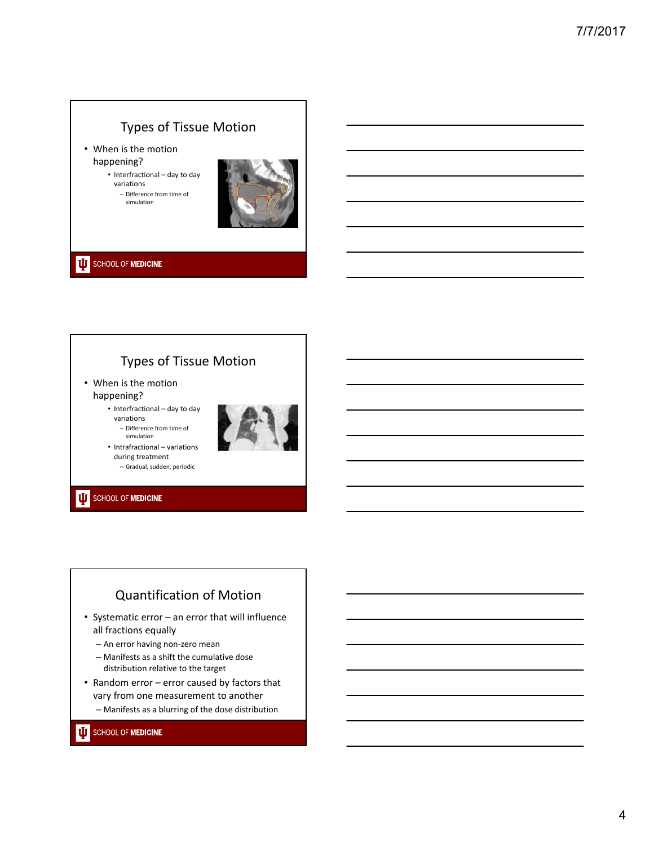# Types of Tissue Motion

• When is the motion happening?

• Interfractional – day to day variations – Difference from time of

simulation



**UJ** SCHOOL OF MEDICINE

# Types of Tissue Motion

• When is the motion happening?

> • Interfractional – day to day variations





• Intrafractional – variations during treatment – Gradual, sudden, periodic

#### **UJ** SCHOOL OF MEDICINE

# Quantification of Motion

- Systematic error an error that will influence all fractions equally
	- An error having non‐zero mean
	- Manifests as a shift the cumulative dose distribution relative to the target
- Random error error caused by factors that vary from one measurement to another
	- Manifests as a blurring of the dose distribution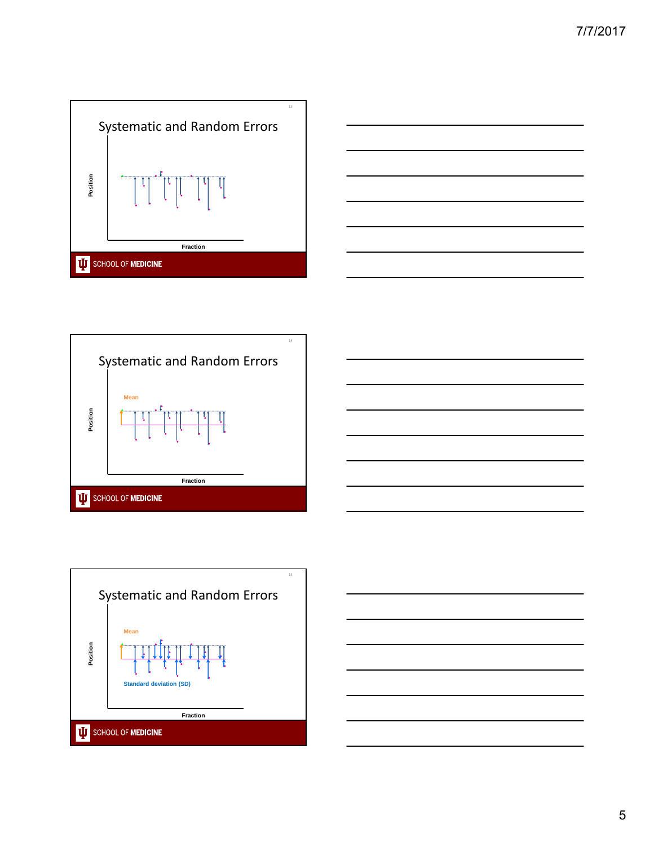







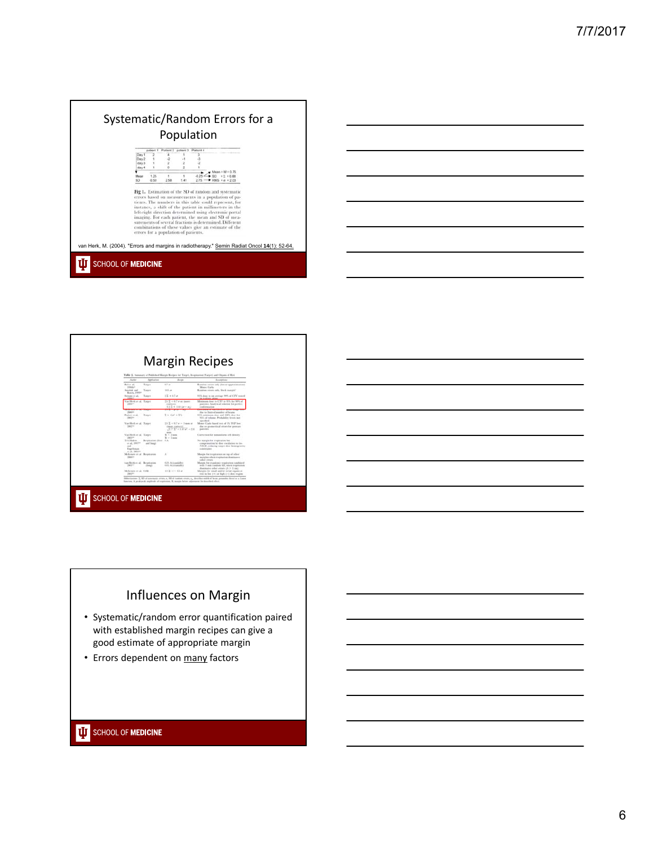



# Influences on Margin

- Systematic/random error quantification paired with established margin recipes can give a good estimate of appropriate margin
- Errors dependent on many factors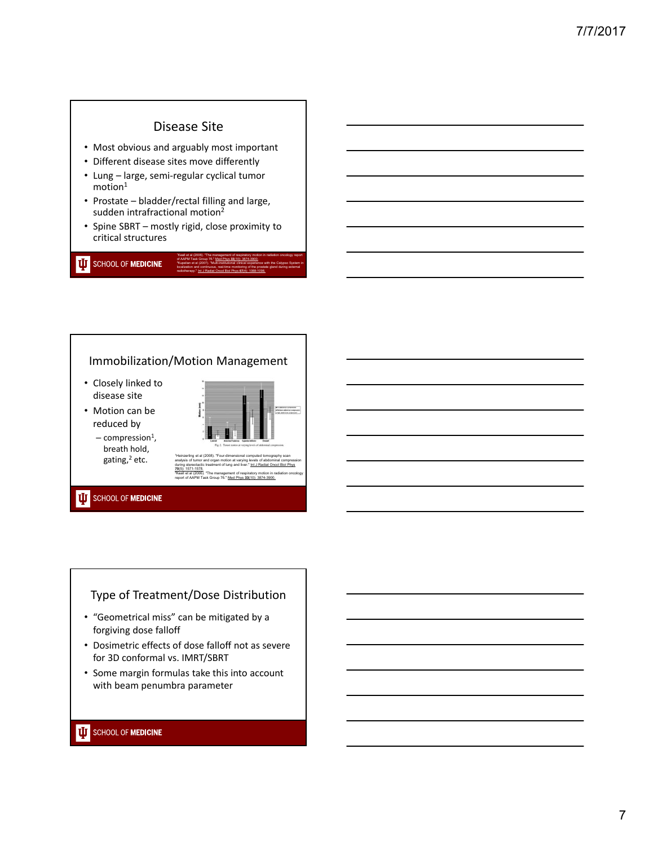## Disease Site

- Most obvious and arguably most important
- Different disease sites move differently
- Lung large, semi‐regular cyclical tumor  $motion<sup>1</sup>$
- Prostate bladder/rectal filling and large, sudden intrafractional motion<sup>2</sup>
- Spine SBRT mostly rigid, close proximity to critical structures

**UD** SCHOOL OF **MEDICINE** 

### Immobilization/Motion Management

**70**(5): 1571-1578.

- Closely linked to disease site
- Motion can be reduced by  $-$  compression<sup>1</sup>,



analysis of tumor and organ motion at varying levels of abdominal compression during stereotactic treatment of lung and liver." Int J Radiat Oncol Biol Phys

2Keall et al (2006). "The management of respiratory motion in radiation oncology report of AAPM Task Group 76." Med Phys **33**(10): 3874-3900.

1Keall et al (2006). "The management of respiratory motion in radiation oncology report

2Kupelian et al (2007). "Multi-institutional clinical experience with the Calypso System in localization and continuous, real-time monitoring of the prostate gland during external radiotherapy." Int J Radiat Oncol Biol Phys **67**(4): 1088-1098.

of AAPM Task Group 76." Med Phys **33**(10): 3874-3900.

breath hold, gating, $2$  etc.

### **UJ** SCHOOL OF **MEDICINE**

### Type of Treatment/Dose Distribution

- "Geometrical miss" can be mitigated by a forgiving dose falloff
- Dosimetric effects of dose falloff not as severe for 3D conformal vs. IMRT/SBRT
- Some margin formulas take this into account with beam penumbra parameter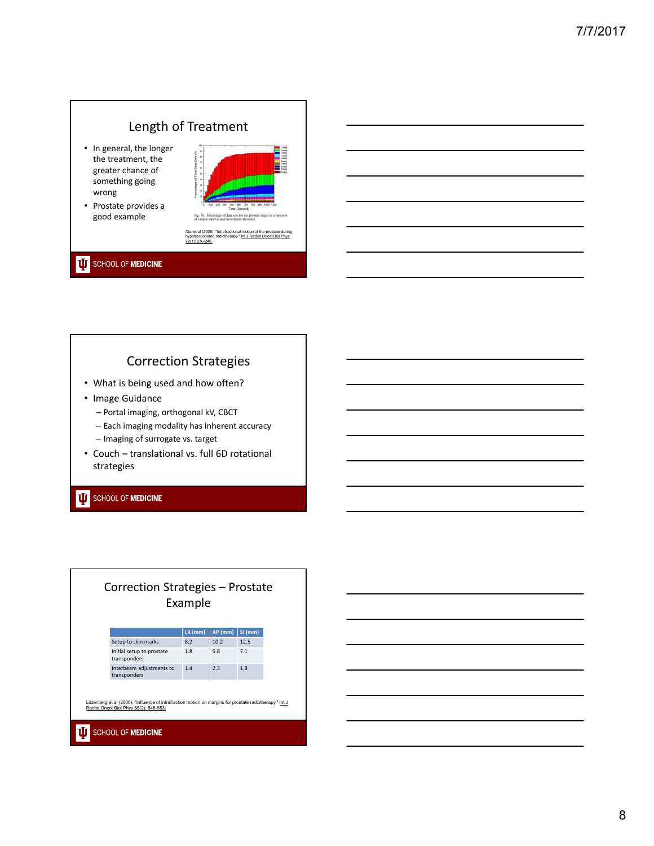# Length of Treatment

- In general, the longer the treatment, the greater chance of something going wrong
- Prostate provides a good example



### **UJ** SCHOOL OF MEDICINE

# Correction Strategies

- What is being used and how often?
- Image Guidance
	- Portal imaging, orthogonal kV, CBCT
	- Each imaging modality has inherent accuracy
	- Imaging of surrogate vs. target
- Couch translational vs. full 6D rotational strategies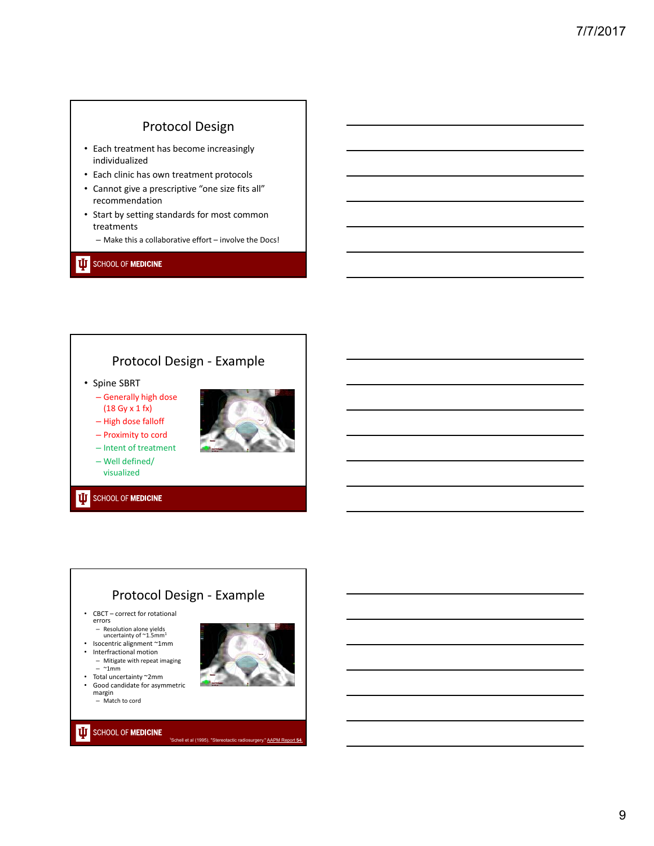## Protocol Design

- Each treatment has become increasingly individualized
- Each clinic has own treatment protocols
- Cannot give a prescriptive "one size fits all" recommendation
- Start by setting standards for most common treatments
	- Make this a collaborative effort involve the Docs!

#### **UD** SCHOOL OF **MEDICINE**

## Protocol Design ‐ Example

- Spine SBRT
	- Generally high dose (18 Gy x 1 fx)
	- High dose falloff – Proximity to cord



- Intent of treatment
- Well defined/ visualized

#### **UJ** SCHOOL OF **MEDICINE**

## Protocol Design ‐ Example

ll et al (1995). "Stere

- CBCT correct for rotational errors
- Resolution alone yields uncertainty of ~1.5mm1 Isocentric alignment ~1mm
- 
- Interfractional motion – Mitigate with repeat imaging
	- $\sim$ 1mm
- Total uncertainty ~2mm Good candidate for asymmetric margin – Match to cord

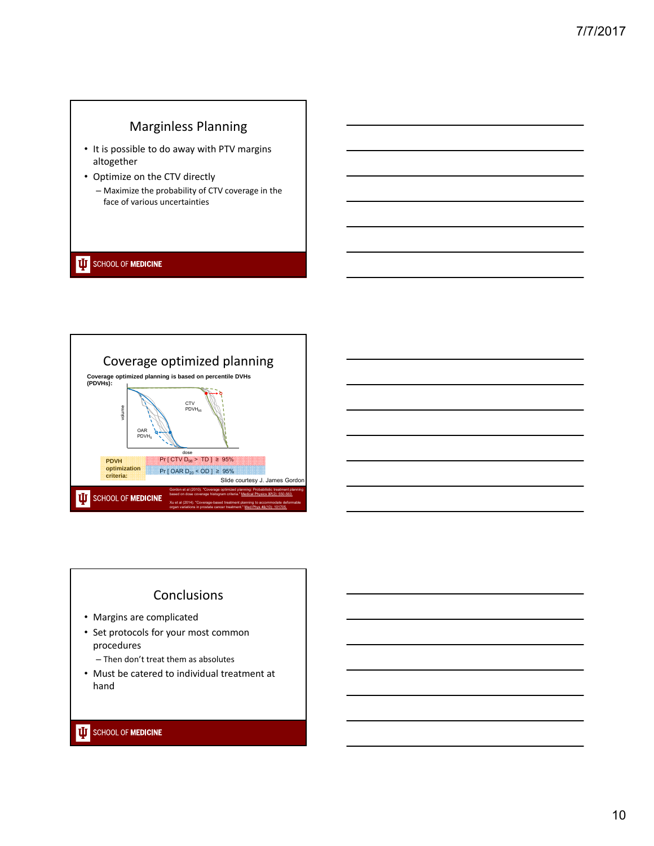# Marginless Planning

- It is possible to do away with PTV margins altogether
- Optimize on the CTV directly
	- Maximize the probability of CTV coverage in the face of various uncertainties

### **UJ** SCHOOL OF MEDICINE



# Conclusions

- Margins are complicated
- Set protocols for your most common procedures
	- Then don't treat them as absolutes
- Must be catered to individual treatment at hand